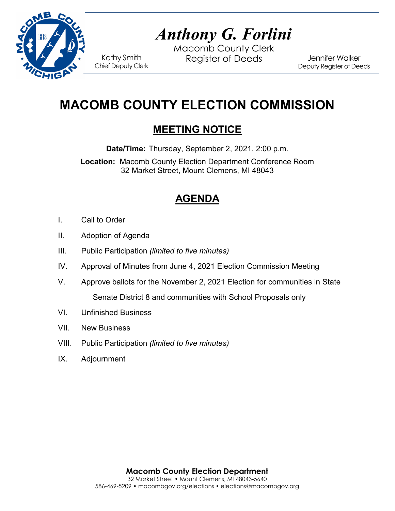

# *Anthony G. Forlini*

Macomb County Clerk Kathy Smith Register of Deeds<br>Chief Deputy Clerk

Jennifer Walker Deputy Register of Deeds

## **MACOMB COUNTY ELECTION COMMISSION**

## **MEETING NOTICE**

**Date/Time:** Thursday, September 2, 2021, 2:00 p.m.

**Location:** Macomb County Election Department Conference Room 32 Market Street, Mount Clemens, MI 48043

## **AGENDA**

- I. Call to Order
- II. Adoption of Agenda
- III. Public Participation *(limited to five minutes)*
- IV. Approval of Minutes from June 4, 2021 Election Commission Meeting
- V. Approve ballots for the November 2, 2021 Election for communities in State Senate District 8 and communities with School Proposals only
- VI. Unfinished Business
- VII. New Business
- VIII. Public Participation *(limited to five minutes)*
- IX. Adjournment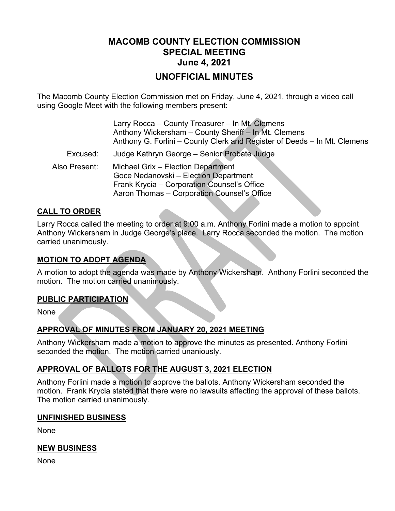### **MACOMB COUNTY ELECTION COMMISSION SPECIAL MEETING June 4, 2021**

#### **UNOFFICIAL MINUTES**

The Macomb County Election Commission met on Friday, June 4, 2021, through a video call using Google Meet with the following members present:

|               | Larry Rocca - County Treasurer - In Mt. Clemens<br>Anthony Wickersham - County Sheriff - In Mt. Clemens<br>Anthony G. Forlini – County Clerk and Register of Deeds – In Mt. Clemens |
|---------------|-------------------------------------------------------------------------------------------------------------------------------------------------------------------------------------|
| Excused:      | Judge Kathryn George - Senior Probate Judge                                                                                                                                         |
| Also Present: | Michael Grix - Election Department<br>Goce Nedanovski - Election Department<br>Frank Krycia - Corporation Counsel's Office<br>Aaron Thomas - Corporation Counsel's Office           |

#### **CALL TO ORDER**

Larry Rocca called the meeting to order at 9:00 a.m. Anthony Forlini made a motion to appoint Anthony Wickersham in Judge George's place. Larry Rocca seconded the motion. The motion carried unanimously.

#### **MOTION TO ADOPT AGENDA**

A motion to adopt the agenda was made by Anthony Wickersham. Anthony Forlini seconded the motion. The motion carried unanimously.

#### **PUBLIC PARTICIPATION**

None

#### **APPROVAL OF MINUTES FROM JANUARY 20, 2021 MEETING**

Anthony Wickersham made a motion to approve the minutes as presented. Anthony Forlini seconded the motion. The motion carried unaniously.

#### **APPROVAL OF BALLOTS FOR THE AUGUST 3, 2021 ELECTION**

Anthony Forlini made a motion to approve the ballots. Anthony Wickersham seconded the motion. Frank Krycia stated that there were no lawsuits affecting the approval of these ballots. The motion carried unanimously.

#### **UNFINISHED BUSINESS**

None

#### **NEW BUSINESS**

None